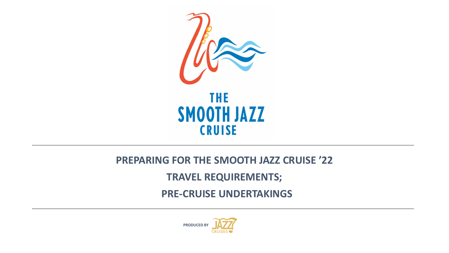

#### **PREPARING FOR THE SMOOTH JAZZ CRUISE '22**

#### **TRAVEL REQUIREMENTS;**

**PRE-CRUISE UNDERTAKINGS**

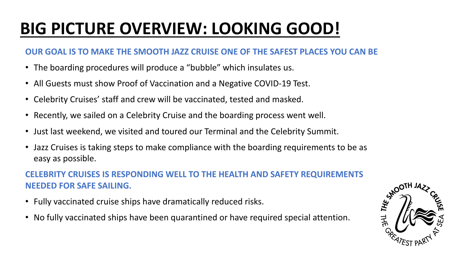# **BIG PICTURE OVERVIEW: LOOKING GOOD!**

#### **OUR GOAL IS TO MAKE THE SMOOTH JAZZ CRUISE ONE OF THE SAFEST PLACES YOU CAN BE**

- The boarding procedures will produce a "bubble" which insulates us.
- All Guests must show Proof of Vaccination and a Negative COVID-19 Test.
- Celebrity Cruises' staff and crew will be vaccinated, tested and masked.
- Recently, we sailed on a Celebrity Cruise and the boarding process went well.
- Just last weekend, we visited and toured our Terminal and the Celebrity Summit.
- Jazz Cruises is taking steps to make compliance with the boarding requirements to be as easy as possible.

#### **CELEBRITY CRUISES IS RESPONDING WELL TO THE HEALTH AND SAFETY REQUIREMENTS NEEDED FOR SAFE SAILING.**

- Fully vaccinated cruise ships have dramatically reduced risks.
- No fully vaccinated ships have been quarantined or have required special attention.

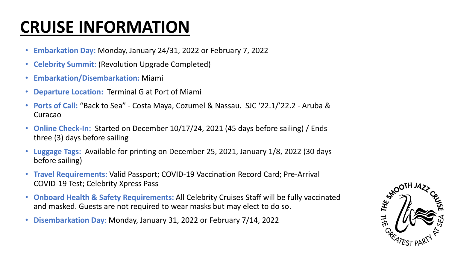### **CRUISE INFORMATION**

- **Embarkation Day:** Monday, January 24/31, 2022 or February 7, 2022
- **Celebrity Summit:** (Revolution Upgrade Completed)
- **Embarkation/Disembarkation:** Miami
- **Departure Location:** Terminal G at Port of Miami
- **Ports of Call:** "Back to Sea" Costa Maya, Cozumel & Nassau. SJC '22.1/'22.2 Aruba & Curacao
- **Online Check-In:** Started on December 10/17/24, 2021 (45 days before sailing) / Ends three (3) days before sailing
- **Luggage Tags:** Available for printing on December 25, 2021, January 1/8, 2022 (30 days before sailing)
- **Travel Requirements:** Valid Passport; COVID-19 Vaccination Record Card; Pre-Arrival COVID-19 Test; Celebrity Xpress Pass
- **Onboard Health & Safety Requirements:** All Celebrity Cruises Staff will be fully vaccinated and masked. Guests are not required to wear masks but may elect to do so.
- **Disembarkation Day**: Monday, January 31, 2022 or February 7/14, 2022

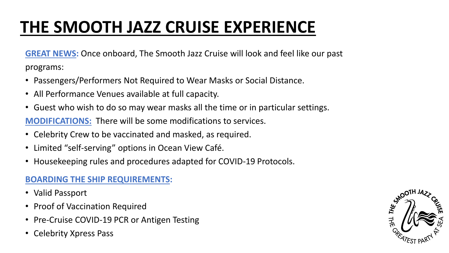# **THE SMOOTH JAZZ CRUISE EXPERIENCE**

**GREAT NEWS:** Once onboard, The Smooth Jazz Cruise will look and feel like our past programs:

- Passengers/Performers Not Required to Wear Masks or Social Distance.
- All Performance Venues available at full capacity.
- Guest who wish to do so may wear masks all the time or in particular settings. **MODIFICATIONS:** There will be some modifications to services.
- Celebrity Crew to be vaccinated and masked, as required.
- Limited "self-serving" options in Ocean View Café.
- Housekeeping rules and procedures adapted for COVID-19 Protocols.

#### **BOARDING THE SHIP REQUIREMENTS:**

- Valid Passport
- Proof of Vaccination Required
- Pre-Cruise COVID-19 PCR or Antigen Testing
- Celebrity Xpress Pass

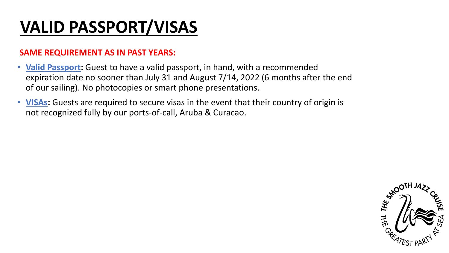## **VALID PASSPORT/VISAS**

#### **SAME REQUIREMENT AS IN PAST YEARS:**

- **Valid Passport:** Guest to have a valid passport, in hand, with a recommended expiration date no sooner than July 31 and August 7/14, 2022 (6 months after the end of our sailing). No photocopies or smart phone presentations.
- **VISAs:** Guests are required to secure visas in the event that their country of origin is not recognized fully by our ports-of-call, Aruba & Curacao.

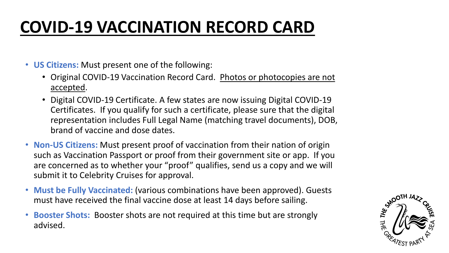## **COVID-19 VACCINATION RECORD CARD**

- **US Citizens:** Must present one of the following:
	- Original COVID-19 Vaccination Record Card. Photos or photocopies are not accepted.
	- Digital COVID-19 Certificate. A few states are now issuing Digital COVID-19 Certificates. If you qualify for such a certificate, please sure that the digital representation includes Full Legal Name (matching travel documents), DOB, brand of vaccine and dose dates.
- **Non-US Citizens:** Must present proof of vaccination from their nation of origin such as Vaccination Passport or proof from their government site or app. If you are concerned as to whether your "proof" qualifies, send us a copy and we will submit it to Celebrity Cruises for approval.
- **Must be Fully Vaccinated:** (various combinations have been approved). Guests must have received the final vaccine dose at least 14 days before sailing.
- **Booster Shots:** Booster shots are not required at this time but are strongly advised.

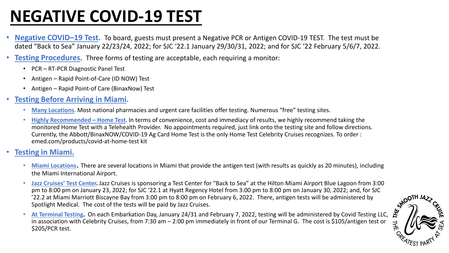### **NEGATIVE COVID-19 TEST**

- **Negative COVID–19 Test.** To board, guests must present a Negative PCR or Antigen COVID-19 TEST. The test must be dated "Back to Sea" January 22/23/24, 2022; for SJC '22.1 January 29/30/31, 2022; and for SJC '22 February 5/6/7, 2022.
- **Testing Procedures.** Three forms of testing are acceptable, each requiring a monitor:
	- PCR RT-PCR Diagnostic Panel Test
	- Antigen Rapid Point-of-Care (ID NOW) Test
	- Antigen Rapid Point-of Care (BinaxNow) Test
- **Testing Before Arriving in Miami.**
	- **Many Locations**. Most national pharmacies and urgent care facilities offer testing. Numerous "free" testing sites.
	- **Highly Recommended – Home Test**. In terms of convenience, cost and immediacy of results, we highly recommend taking the monitored Home Test with a Telehealth Provider. No appointments required, just link onto the testing site and follow directions. Currently, the Abbott/BinaxNOW/COVID-19 Ag Card Home Test is the only Home Test Celebrity Cruises recognizes. To order : emed.com/products/covid-at-home-test kit
- **Testing in Miami.**
	- **Miami Locations**. There are several locations in Miami that provide the antigen test (with results as quickly as 20 minutes), including the Miami International Airport.
	- **Jazz Cruises' Test Center.** Jazz Cruises is sponsoring a Test Center for "Back to Sea" at the Hilton Miami Airport Blue Lagoon from 3:00 pm to 8:00 pm on January 23, 2022; for SJC '22.1 at Hyatt Regency Hotel from 3:00 pm to 8:00 pm on January 30, 2022; and, for SJC<br>
	'22.2 at Miami Marriott Biscayne Bay from 3:00 pm to 8:00 pm on February 6, 2022. There, a '22.2 at Miami Marriott Biscayne Bay from 3:00 pm to 8:00 pm on February 6, 2022. There, antigen tests will be administered by Spotlight Medical. The cost of the tests will be paid by Jazz Cruises.
	- **At Terminal Testing.** On each Embarkation Day, January 24/31 and February 7, 2022, testing will be administered by Covid Testing LLC, in association with Celebrity Cruises, from 7:30 am – 2:00 pm immediately in front of our Terminal G. The cost is \$105/antigen test or \$205/PCR test.

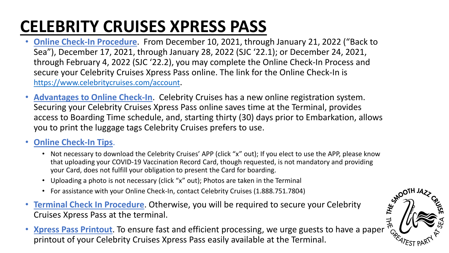## **CELEBRITY CRUISES XPRESS PASS**

- **Online Check-In Procedure**. From December 10, 2021, through January 21, 2022 ("Back to Sea"), December 17, 2021, through January 28, 2022 (SJC '22.1); or December 24, 2021, through February 4, 2022 (SJC '22.2), you may complete the Online Check-In Process and secure your Celebrity Cruises Xpress Pass online. The link for the Online Check-In is [https://www.celebritycruises.com/account.](https://www.celebritycruises.com/account)
- **Advantages to Online Check-In**. Celebrity Cruises has a new online registration system. Securing your Celebrity Cruises Xpress Pass online saves time at the Terminal, provides access to Boarding Time schedule, and, starting thirty (30) days prior to Embarkation, allows you to print the luggage tags Celebrity Cruises prefers to use.

#### • **Online Check-In Tips**.

- Not necessary to download the Celebrity Cruises' APP (click "x" out); If you elect to use the APP, please know that uploading your COVID-19 Vaccination Record Card, though requested, is not mandatory and providing your Card, does not fulfill your obligation to present the Card for boarding.
- Uploading a photo is not necessary (click "x" out); Photos are taken in the Terminal
- For assistance with your Online Check-In, contact Celebrity Cruises (1.888.751.7804)
- **Terminal Check In Procedure**. Otherwise, you will be required to secure your Celebrity Cruises Xpress Pass at the terminal.
- **Xpress Pass Printout**. To ensure fast and efficient processing, we urge guests to have a paper printout of your Celebrity Cruises Xpress Pass easily available at the Terminal.

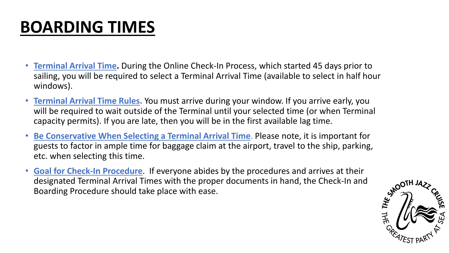## **BOARDING TIMES**

- **Terminal Arrival Time.** During the Online Check-In Process, which started 45 days prior to sailing, you will be required to select a Terminal Arrival Time (available to select in half hour windows).
- **Terminal Arrival Time Rules.** You must arrive during your window. If you arrive early, you will be required to wait outside of the Terminal until your selected time (or when Terminal capacity permits). If you are late, then you will be in the first available lag time.
- **Be Conservative When Selecting a Terminal Arrival Time**. Please note, it is important for guests to factor in ample time for baggage claim at the airport, travel to the ship, parking, etc. when selecting this time.
- **Goal for Check-In Procedure**. If everyone abides by the procedures and arrives at their designated Terminal Arrival Times with the proper documents in hand, the Check-In and Boarding Procedure should take place with ease.

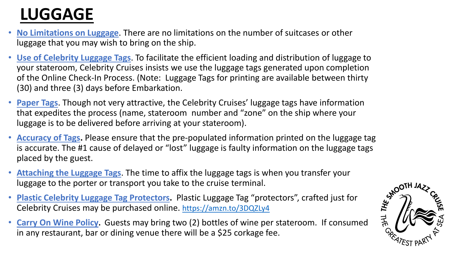## **LUGGAGE**

- **No Limitations on Luggage**. There are no limitations on the number of suitcases or other luggage that you may wish to bring on the ship.
- **Use of Celebrity Luggage Tags**. To facilitate the efficient loading and distribution of luggage to your stateroom, Celebrity Cruises insists we use the luggage tags generated upon completion of the Online Check-In Process. (Note: Luggage Tags for printing are available between thirty (30) and three (3) days before Embarkation.
- **Paper Tags**. Though not very attractive, the Celebrity Cruises' luggage tags have information that expedites the process (name, stateroom number and "zone" on the ship where your luggage is to be delivered before arriving at your stateroom).
- **Accuracy of Tags.** Please ensure that the pre-populated information printed on the luggage tag is accurate. The #1 cause of delayed or "lost" luggage is faulty information on the luggage tags placed by the guest.
- **Attaching the Luggage Tags**. The time to affix the luggage tags is when you transfer your luggage to the porter or transport you take to the cruise terminal.
- **Plastic Celebrity Luggage Tag Protectors.** Plastic Luggage Tag "protectors", crafted just for Celebrity Cruises may be purchased online. <https://amzn.to/3DQZLy4>
- **Carry On Wine Policy.** Guests may bring two (2) bottles of wine per stateroom. If consumed in any restaurant, bar or dining venue there will be a \$25 corkage fee.

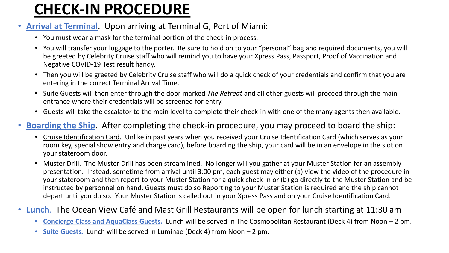#### **CHECK-IN PROCEDURE**

#### • **Arrival at Terminal**. Upon arriving at Terminal G, Port of Miami:

- You must wear a mask for the terminal portion of the check-in process.
- You will transfer your luggage to the porter. Be sure to hold on to your "personal" bag and required documents, you will be greeted by Celebrity Cruise staff who will remind you to have your Xpress Pass, Passport, Proof of Vaccination and Negative COVID-19 Test result handy.
- Then you will be greeted by Celebrity Cruise staff who will do a quick check of your credentials and confirm that you are entering in the correct Terminal Arrival Time.
- Suite Guests will then enter through the door marked *The Retreat* and all other guests will proceed through the main entrance where their credentials will be screened for entry.
- Guests will take the escalator to the main level to complete their check-in with one of the many agents then available.

#### • **Boarding the Ship**. After completing the check-in procedure, you may proceed to board the ship:

- Cruise Identification Card. Unlike in past years when you received your Cruise Identification Card (which serves as your room key, special show entry and charge card), before boarding the ship, your card will be in an envelope in the slot on your stateroom door.
- Muster Drill. The Muster Drill has been streamlined. No longer will you gather at your Muster Station for an assembly presentation. Instead, sometime from arrival until 3:00 pm, each guest may either (a) view the video of the procedure in your stateroom and then report to your Muster Station for a quick check-in or (b) go directly to the Muster Station and be instructed by personnel on hand. Guests must do so Reporting to your Muster Station is required and the ship cannot depart until you do so. Your Muster Station is called out in your Xpress Pass and on your Cruise Identification Card.

#### • **Lunch***.* The Ocean View Café and Mast Grill Restaurants will be open for lunch starting at 11:30 am

- **Concierge Class and AquaClass Guests.** Lunch will be served in The Cosmopolitan Restaurant (Deck 4) from Noon 2 pm.
- **Suite Guests***.* Lunch will be served in Luminae (Deck 4) from Noon 2 pm.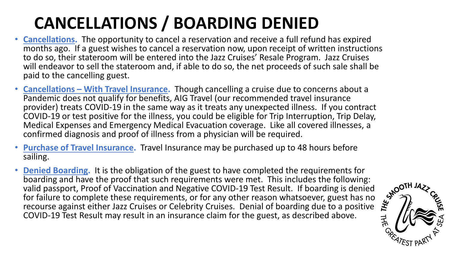# **CANCELLATIONS / BOARDING DENIED**

- **Cancellations.** The opportunity to cancel a reservation and receive a full refund has expired months ago. If a guest wishes to cancel a reservation now, upon receipt of written instructions to do so, their stateroom will be entered into the Jazz Cruises' Resale Program. Jazz Cruises will endeavor to sell the stateroom and, if able to do so, the net proceeds of such sale shall be paid to the cancelling guest.
- **Cancellations – With Travel Insurance.** Though cancelling a cruise due to concerns about a Pandemic does not qualify for benefits, AIG Travel (our recommended travel insurance provider) treats COVID-19 in the same way as it treats any unexpected illness. If you contract COVID-19 or test positive for the illness, you could be eligible for Trip Interruption, Trip Delay, Medical Expenses and Emergency Medical Evacuation coverage. Like all covered illnesses, a confirmed diagnosis and proof of illness from a physician will be required.
- **Purchase of Travel Insurance.** Travel Insurance may be purchased up to 48 hours before sailing.
- **Denied Boarding.** It is the obligation of the guest to have completed the requirements for boarding and have the proof that such requirements were met. This includes the following: valid passport, Proof of Vaccination boarding and have the proof that such requirements were met. This includes the following: valid passport, Proof of Vaccination and Negative COVID-19 Test Result. If boarding is denied for failure to complete these requirements, or for any other reason whatsoever, guest has no recourse against either Jazz Cruises or Celebrity Cruises. Denial of boarding due to a positive COVID-19 Test Result may result in an insurance claim for the guest, as described above.

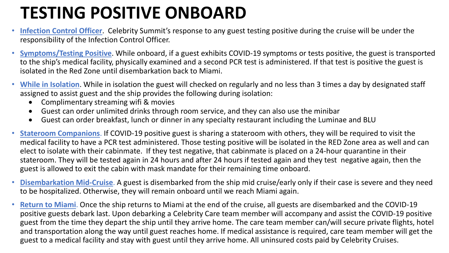## **TESTING POSITIVE ONBOARD**

- **Infection Control Officer**. Celebrity Summit's response to any guest testing positive during the cruise will be under the responsibility of the Infection Control Officer.
- **Symptoms/Testing Positive**. While onboard, if a guest exhibits COVID-19 symptoms or tests positive, the guest is transported to the ship's medical facility, physically examined and a second PCR test is administered. If that test is positive the guest is isolated in the Red Zone until disembarkation back to Miami.
- **While in Isolation**. While in isolation the guest will checked on regularly and no less than 3 times a day by designated staff assigned to assist guest and the ship provides the following during isolation:
	- Complimentary streaming wifi & movies
	- Guest can order unlimited drinks through room service, and they can also use the minibar
	- Guest can order breakfast, lunch or dinner in any specialty restaurant including the Luminae and BLU
- **Stateroom Companions**. If COVID-19 positive guest is sharing a stateroom with others, they will be required to visit the medical facility to have a PCR test administered. Those testing positive will be isolated in the RED Zone area as well and can elect to isolate with their cabinmate. If they test negative, that cabinmate is placed on a 24-hour quarantine in their stateroom. They will be tested again in 24 hours and after 24 hours if tested again and they test negative again, then the guest is allowed to exit the cabin with mask mandate for their remaining time onboard.
- **Disembarkation Mid-Cruise**. A guest is disembarked from the ship mid cruise/early only if their case is severe and they need to be hospitalized. Otherwise, they will remain onboard until we reach Miami again.
- **Return to Miami**. Once the ship returns to Miami at the end of the cruise, all guests are disembarked and the COVID-19 positive guests debark last. Upon debarking a Celebrity Care team member will accompany and assist the COVID-19 positive guest from the time they depart the ship until they arrive home. The care team member can/will secure private flights, hotel and transportation along the way until guest reaches home. If medical assistance is required, care team member will get the guest to a medical facility and stay with guest until they arrive home. All uninsured costs paid by Celebrity Cruises.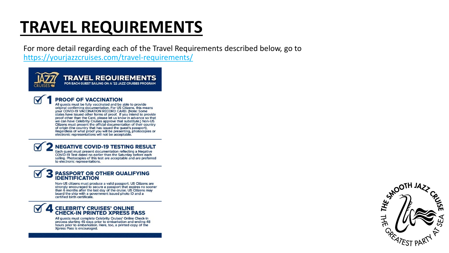### **TRAVEL REQUIREMENTS**

For more detail regarding each of the Travel Requirements described below, go to https://yourjazzcruises.com/travel-requirements/



**TRAVEL REQUIREMENTS** FOR EACH GUEST SAILING ON A '22 JAZZ CRUISES PROGRAM



#### **PROOF OF VACCINATION**

All guests must be fully vaccinated and be able to provide original confirming documentation. For US Citizens, this means your COVID-19 VACCINATION RECORD CARD. (Note: Some states have issued other forms of proof. If you intend to provide proof other than the Card, please let us know in advance so that we can have Celebrity Cruises approve that substitute.) Non-US Citizens must present the official documentation of their country of origin (the country that has issued the guest's passport). Regardless of what proof you will be presenting, photocopies or electronic representations will not be acceptable.

**NEGATIVE COVID-19 TESTING RESULT** Each guest must present documentation reflecting a Negative

COVID-19 Test dated no earlier than the Saturday before each sailing. Photocopies of this test are acceptable and are preferred to electronic representations.

#### **PASSPORT OR OTHER QUALIFYING<br>IDENTIFICATION**

Non-US citizens must produce a valid passport. US Citizens are strongly encouraged to secure a passport that expires no sooner than 6 months after the last day of the cruise. US Citizens may board the ship with a government issued photo ID and a certified birth certificate.

#### **CELEBRITY CRUISES' ONLINE<br>CHECK-IN PRINTED XPRESS PASS**

All guests must complete Celebrity Cruises' Online Check-In process starting 45 days prior to embarkation and ending 48 hours prior to embarkation. Here, too, a printed copy of the Xpress Pass is encouraged.